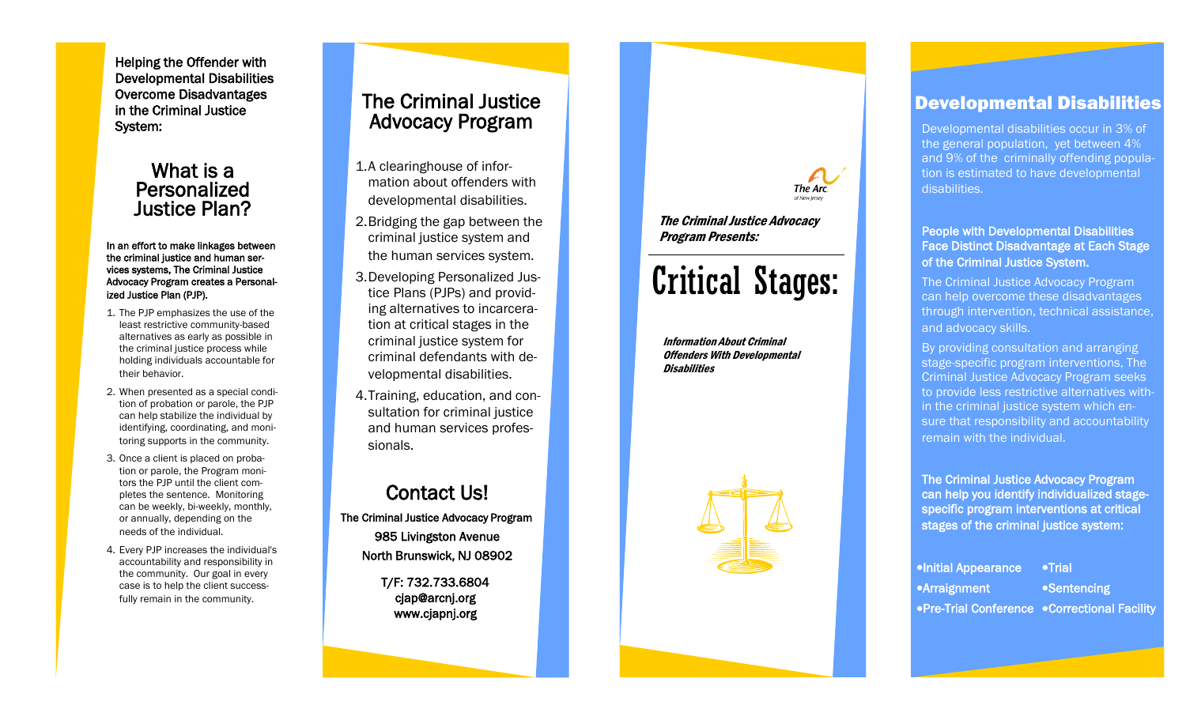Helping the Offender with Developmental Disabilities Overcome Disadvantages in the Criminal Justice System:

### What is a Personalized Justice Plan?

#### In an effort to make linkages between the criminal justice and human services systems, The Criminal Justice Advocacy Program creates a Personalized Justice Plan (PJP).

- 1. The PJP emphasizes the use of the least restrictive community-based alternatives as early as possible in the criminal justice process while holding individuals accountable for their behavior.
- 2. When presented as a special condition of probation or parole, the PJP can help stabilize the individual by identifying, coordinating, and monitoring supports in the community.
- 3. Once a client is placed on probation or parole, the Program monitors the PJP until the client completes the sentence. Monitoring can be weekly, bi-weekly, monthly, or annually, depending on the needs of the individual.
- 4. Every PJP increases the individual's accountability and responsibility in the community. Our goal in every case is to help the client successfully remain in the community.

## The Criminal Justice Advocacy Program

- 1. A clearinghouse of information about offenders with developmental disabilities.
- 2. Bridging the gap between the criminal justice system and the human services system.
- 3. Developing Personalized Justice Plans (PJPs) and providing alternatives to incarceration at critical stages in the criminal justice system for criminal defendants with developmental disabilities.
- 4. Training, education, and consultation for criminal justice and human services professionals.

## Contact Us!

The Criminal Justice Advocacy Program 985 Livingston Avenue North Brunswick, NJ 08902 T/F: 732.733.6804

cjap@arcnj.org www.cjapnj.org



The Criminal Justice Advocacy Program Presents:

# Critical Stages:

Information About Criminal Offenders With Developmental **Disabilities** 



## Developmental Disabilities

Developmental disabilities occur in 3% of the general population, yet between 4% and 9% of the criminally offending population is estimated to have developmental disabilities.

#### People with Developmental Disabilities Face Distinct Disadvantage at Each Stage of the Criminal Justice System.

The Criminal Justice Advocacy Program can help overcome these disadvantages through intervention, technical assistance, and advocacy skills.

By providing consultation and arranging stage-specific program interventions, The Criminal Justice Advocacy Program seeks to provide less restrictive alternatives within the criminal justice system which ensure that responsibility and accountability remain with the individual.

The Criminal Justice Advocacy Program can help you identify individualized stagespecific program interventions at critical stages of the criminal justice system:

| <b>.</b> Initial Appearance                    | $\bullet$ Trial |
|------------------------------------------------|-----------------|
| •Arraignment                                   | •Sentencing     |
| • Pre-Trial Conference • Correctional Facility |                 |